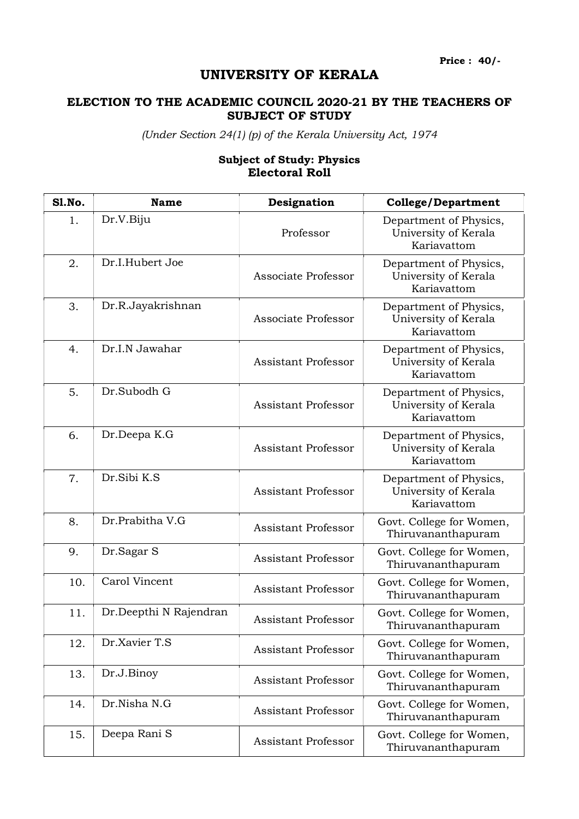Price : 40/-

## UNIVERSITY OF KERALA

## ELECTION TO THE ACADEMIC COUNCIL 2020-21 BY THE TEACHERS OF SUBJECT OF STUDY

(Under Section 24(1) (p) of the Kerala University Act, 1974

## Subject of Study: Physics Electoral Roll

| <b>S1.No.</b> | <b>Name</b>            | Designation                | <b>College/Department</b>                                     |
|---------------|------------------------|----------------------------|---------------------------------------------------------------|
| 1.            | Dr.V.Biju              | Professor                  | Department of Physics,<br>University of Kerala<br>Kariavattom |
| 2.            | Dr.I.Hubert Joe        | Associate Professor        | Department of Physics,<br>University of Kerala<br>Kariavattom |
| 3.            | Dr.R.Jayakrishnan      | Associate Professor        | Department of Physics,<br>University of Kerala<br>Kariavattom |
| 4.            | Dr.I.N Jawahar         | <b>Assistant Professor</b> | Department of Physics,<br>University of Kerala<br>Kariavattom |
| 5.            | Dr.Subodh G            | <b>Assistant Professor</b> | Department of Physics,<br>University of Kerala<br>Kariavattom |
| 6.            | Dr.Deepa K.G           | <b>Assistant Professor</b> | Department of Physics,<br>University of Kerala<br>Kariavattom |
| 7.            | Dr.Sibi K.S            | <b>Assistant Professor</b> | Department of Physics,<br>University of Kerala<br>Kariavattom |
| 8.            | Dr.Prabitha V.G        | <b>Assistant Professor</b> | Govt. College for Women,<br>Thiruvananthapuram                |
| 9.            | Dr.Sagar S             | <b>Assistant Professor</b> | Govt. College for Women,<br>Thiruvananthapuram                |
| 10.           | Carol Vincent          | Assistant Professor        | Govt. College for Women,<br>Thiruvananthapuram                |
| 11.           | Dr.Deepthi N Rajendran | <b>Assistant Professor</b> | Govt. College for Women,<br>Thiruvananthapuram                |
| 12.           | Dr.Xavier T.S          | <b>Assistant Professor</b> | Govt. College for Women,<br>Thiruvananthapuram                |
| 13.           | Dr.J.Binoy             | <b>Assistant Professor</b> | Govt. College for Women,<br>Thiruvananthapuram                |
| 14.           | Dr.Nisha N.G           | <b>Assistant Professor</b> | Govt. College for Women,<br>Thiruvananthapuram                |
| 15.           | Deepa Rani S           | Assistant Professor        | Govt. College for Women,<br>Thiruvananthapuram                |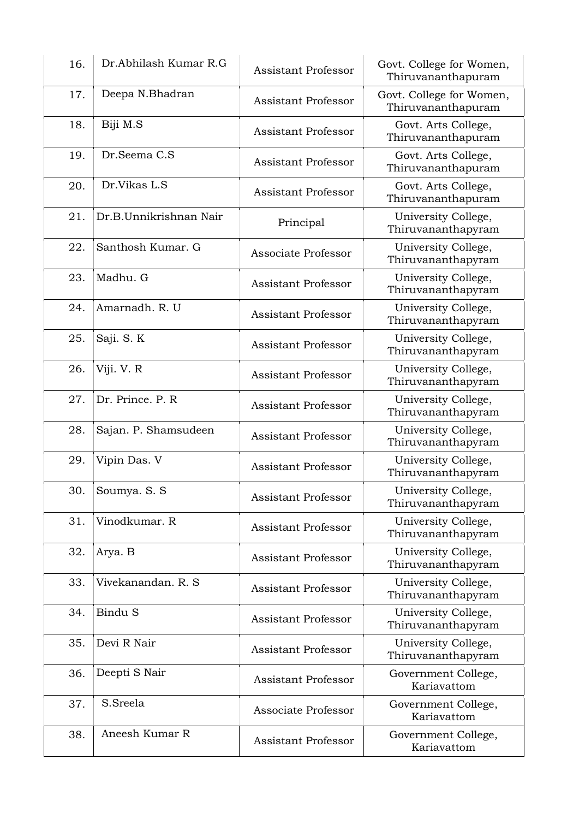| 16. | Dr.Abhilash Kumar R.G  | <b>Assistant Professor</b> | Govt. College for Women,<br>Thiruvananthapuram |
|-----|------------------------|----------------------------|------------------------------------------------|
| 17. | Deepa N.Bhadran        | <b>Assistant Professor</b> | Govt. College for Women,<br>Thiruvananthapuram |
| 18. | Biji M.S               | <b>Assistant Professor</b> | Govt. Arts College,<br>Thiruvananthapuram      |
| 19. | Dr.Seema C.S           | <b>Assistant Professor</b> | Govt. Arts College,<br>Thiruvananthapuram      |
| 20. | Dr.Vikas L.S           | <b>Assistant Professor</b> | Govt. Arts College,<br>Thiruvananthapuram      |
| 21. | Dr.B.Unnikrishnan Nair | Principal                  | University College,<br>Thiruvananthapyram      |
| 22. | Santhosh Kumar. G      | Associate Professor        | University College,<br>Thiruvananthapyram      |
| 23. | Madhu. G               | <b>Assistant Professor</b> | University College,<br>Thiruvananthapyram      |
| 24. | Amarnadh, R. U         | <b>Assistant Professor</b> | University College,<br>Thiruvananthapyram      |
| 25. | Saji. S. K             | <b>Assistant Professor</b> | University College,<br>Thiruvananthapyram      |
| 26. | Viji. V. R             | <b>Assistant Professor</b> | University College,<br>Thiruvananthapyram      |
| 27. | Dr. Prince. P. R       | <b>Assistant Professor</b> | University College,<br>Thiruvananthapyram      |
| 28. | Sajan. P. Shamsudeen   | <b>Assistant Professor</b> | University College,<br>Thiruvananthapyram      |
| 29. | Vipin Das. V           | <b>Assistant Professor</b> | University College,<br>Thiruvananthapyram      |
| 30. | Soumya. S. S           | <b>Assistant Professor</b> | University College,<br>Thiruvananthapyram      |
| 31. | Vinodkumar. R          | <b>Assistant Professor</b> | University College,<br>Thiruvananthapyram      |
| 32. | Arya. B                | <b>Assistant Professor</b> | University College,<br>Thiruvananthapyram      |
| 33. | Vivekanandan. R. S     | <b>Assistant Professor</b> | University College,<br>Thiruvananthapyram      |
| 34. | Bindu S                | <b>Assistant Professor</b> | University College,<br>Thiruvananthapyram      |
| 35. | Devi R Nair            | <b>Assistant Professor</b> | University College,<br>Thiruvananthapyram      |
| 36. | Deepti S Nair          | <b>Assistant Professor</b> | Government College,<br>Kariavattom             |
| 37. | S.Sreela               | Associate Professor        | Government College,<br>Kariavattom             |
| 38. | Aneesh Kumar R         | <b>Assistant Professor</b> | Government College,<br>Kariavattom             |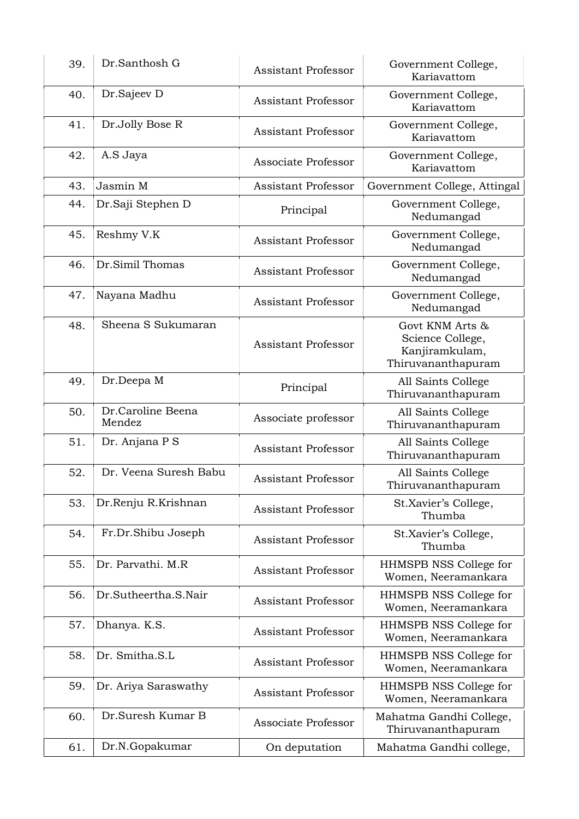| 39. | Dr.Santhosh G               | <b>Assistant Professor</b> | Government College,<br>Kariavattom                                          |
|-----|-----------------------------|----------------------------|-----------------------------------------------------------------------------|
| 40. | Dr.Sajeev D                 | <b>Assistant Professor</b> | Government College,<br>Kariavattom                                          |
| 41. | Dr.Jolly Bose R             | <b>Assistant Professor</b> | Government College,<br>Kariavattom                                          |
| 42. | A.S Jaya                    | Associate Professor        | Government College,<br>Kariavattom                                          |
| 43. | Jasmin M                    | <b>Assistant Professor</b> | Government College, Attingal                                                |
| 44. | Dr.Saji Stephen D           | Principal                  | Government College,<br>Nedumangad                                           |
| 45. | Reshmy V.K                  | <b>Assistant Professor</b> | Government College,<br>Nedumangad                                           |
| 46. | Dr.Simil Thomas             | <b>Assistant Professor</b> | Government College,<br>Nedumangad                                           |
| 47. | Nayana Madhu                | <b>Assistant Professor</b> | Government College,<br>Nedumangad                                           |
| 48. | Sheena S Sukumaran          | <b>Assistant Professor</b> | Govt KNM Arts &<br>Science College,<br>Kanjiramkulam,<br>Thiruvananthapuram |
| 49. | Dr.Deepa M                  | Principal                  | All Saints College<br>Thiruvananthapuram                                    |
| 50. | Dr.Caroline Beena<br>Mendez | Associate professor        | All Saints College<br>Thiruvananthapuram                                    |
| 51. | Dr. Anjana P S              | <b>Assistant Professor</b> | All Saints College<br>Thiruvananthapuram                                    |
| 52. | Dr. Veena Suresh Babu       | <b>Assistant Professor</b> | All Saints College<br>Thiruvananthapuram                                    |
| 53. | Dr.Renju R.Krishnan         | <b>Assistant Professor</b> | St.Xavier's College,<br>Thumba                                              |
| 54. | Fr.Dr.Shibu Joseph          | <b>Assistant Professor</b> | St.Xavier's College,<br>Thumba                                              |
| 55. | Dr. Parvathi, M.R.          | <b>Assistant Professor</b> | HHMSPB NSS College for<br>Women, Neeramankara                               |
| 56. | Dr.Sutheertha.S.Nair        | <b>Assistant Professor</b> | HHMSPB NSS College for<br>Women, Neeramankara                               |
| 57. | Dhanya. K.S.                | <b>Assistant Professor</b> | HHMSPB NSS College for<br>Women, Neeramankara                               |
| 58. | Dr. Smitha.S.L              | <b>Assistant Professor</b> | HHMSPB NSS College for<br>Women, Neeramankara                               |
| 59. | Dr. Ariya Saraswathy        | <b>Assistant Professor</b> | HHMSPB NSS College for<br>Women, Neeramankara                               |
| 60. | Dr.Suresh Kumar B           | Associate Professor        | Mahatma Gandhi College,<br>Thiruvananthapuram                               |
| 61. | Dr.N.Gopakumar              | On deputation              | Mahatma Gandhi college,                                                     |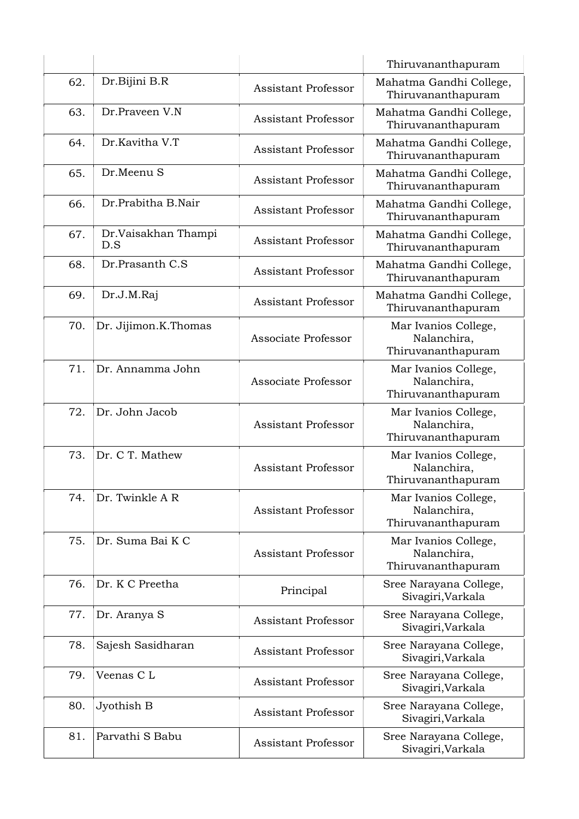|     |                            |                            | Thiruvananthapuram                                        |
|-----|----------------------------|----------------------------|-----------------------------------------------------------|
| 62. | Dr.Bijini B.R              | <b>Assistant Professor</b> | Mahatma Gandhi College,<br>Thiruvananthapuram             |
| 63. | Dr.Praveen V.N             | <b>Assistant Professor</b> | Mahatma Gandhi College,<br>Thiruvananthapuram             |
| 64. | Dr.Kavitha V.T             | <b>Assistant Professor</b> | Mahatma Gandhi College,<br>Thiruvananthapuram             |
| 65. | Dr.Meenu S                 | <b>Assistant Professor</b> | Mahatma Gandhi College,<br>Thiruvananthapuram             |
| 66. | Dr.Prabitha B.Nair         | <b>Assistant Professor</b> | Mahatma Gandhi College,<br>Thiruvananthapuram             |
| 67. | Dr.Vaisakhan Thampi<br>D.S | <b>Assistant Professor</b> | Mahatma Gandhi College,<br>Thiruvananthapuram             |
| 68. | Dr.Prasanth C.S.           | <b>Assistant Professor</b> | Mahatma Gandhi College,<br>Thiruvananthapuram             |
| 69. | Dr.J.M.Raj                 | <b>Assistant Professor</b> | Mahatma Gandhi College,<br>Thiruvananthapuram             |
| 70. | Dr. Jijimon.K.Thomas       | Associate Professor        | Mar Ivanios College,<br>Nalanchira,<br>Thiruvananthapuram |
| 71. | Dr. Annamma John           | Associate Professor        | Mar Ivanios College,<br>Nalanchira,<br>Thiruvananthapuram |
| 72. | Dr. John Jacob             | <b>Assistant Professor</b> | Mar Ivanios College,<br>Nalanchira,<br>Thiruvananthapuram |
| 73. | Dr. C T. Mathew            | <b>Assistant Professor</b> | Mar Ivanios College,<br>Nalanchira,<br>Thiruvananthapuram |
| 74. | Dr. Twinkle A R            | <b>Assistant Professor</b> | Mar Ivanios College,<br>Nalanchira,<br>Thiruvananthapuram |
| 75. | Dr. Suma Bai K C           | <b>Assistant Professor</b> | Mar Ivanios College,<br>Nalanchira,<br>Thiruvananthapuram |
| 76. | Dr. K C Preetha            | Principal                  | Sree Narayana College,<br>Sivagiri, Varkala               |
| 77. | Dr. Aranya S               | <b>Assistant Professor</b> | Sree Narayana College,<br>Sivagiri, Varkala               |
| 78. | Sajesh Sasidharan          | <b>Assistant Professor</b> | Sree Narayana College,<br>Sivagiri, Varkala               |
| 79. | Veenas CL                  | <b>Assistant Professor</b> | Sree Narayana College,<br>Sivagiri, Varkala               |
| 80. | Jyothish B                 | <b>Assistant Professor</b> | Sree Narayana College,<br>Sivagiri, Varkala               |
| 81. | Parvathi S Babu            | <b>Assistant Professor</b> | Sree Narayana College,<br>Sivagiri, Varkala               |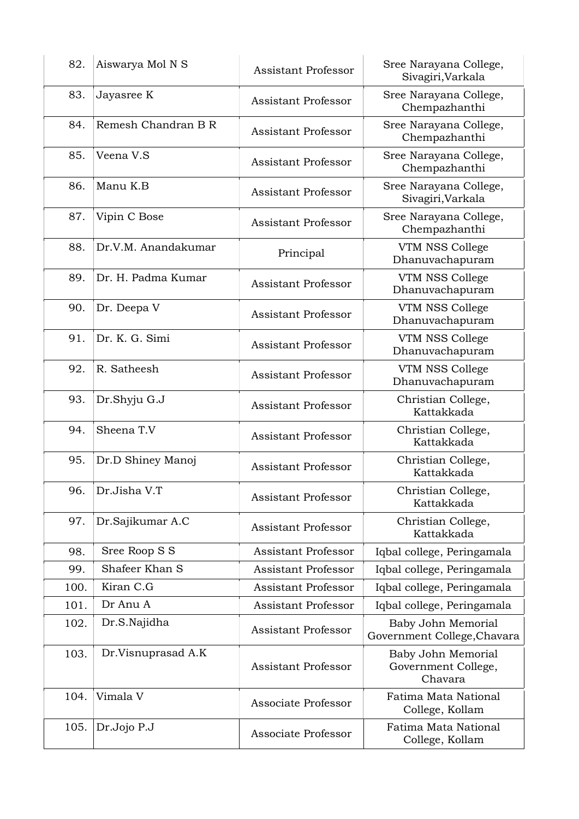| 82.  | Aiswarya Mol N S    | <b>Assistant Professor</b> | Sree Narayana College,<br>Sivagiri, Varkala          |
|------|---------------------|----------------------------|------------------------------------------------------|
| 83.  | Jayasree K          | <b>Assistant Professor</b> | Sree Narayana College,<br>Chempazhanthi              |
| 84.  | Remesh Chandran B R | <b>Assistant Professor</b> | Sree Narayana College,<br>Chempazhanthi              |
| 85.  | Veena V.S           | <b>Assistant Professor</b> | Sree Narayana College,<br>Chempazhanthi              |
| 86.  | Manu K.B            | <b>Assistant Professor</b> | Sree Narayana College,<br>Sivagiri, Varkala          |
| 87.  | Vipin C Bose        | <b>Assistant Professor</b> | Sree Narayana College,<br>Chempazhanthi              |
| 88.  | Dr.V.M. Anandakumar | Principal                  | VTM NSS College<br>Dhanuvachapuram                   |
| 89.  | Dr. H. Padma Kumar  | <b>Assistant Professor</b> | VTM NSS College<br>Dhanuvachapuram                   |
| 90.  | Dr. Deepa V         | <b>Assistant Professor</b> | VTM NSS College<br>Dhanuvachapuram                   |
| 91.  | Dr. K. G. Simi      | <b>Assistant Professor</b> | VTM NSS College<br>Dhanuvachapuram                   |
| 92.  | R. Satheesh         | <b>Assistant Professor</b> | VTM NSS College<br>Dhanuvachapuram                   |
| 93.  | Dr.Shyju G.J        | <b>Assistant Professor</b> | Christian College,<br>Kattakkada                     |
| 94.  | Sheena T.V          | <b>Assistant Professor</b> | Christian College,<br>Kattakkada                     |
| 95.  | Dr.D Shiney Manoj   | <b>Assistant Professor</b> | Christian College,<br>Kattakkada                     |
| 96.  | Dr.Jisha V.T        | <b>Assistant Professor</b> | Christian College,<br>Kattakkada                     |
| 97.  | Dr.Sajikumar A.C    | <b>Assistant Professor</b> | Christian College,<br>Kattakkada                     |
| 98.  | Sree Roop S S       | <b>Assistant Professor</b> | Iqbal college, Peringamala                           |
| 99.  | Shafeer Khan S      | <b>Assistant Professor</b> | Iqbal college, Peringamala                           |
| 100. | Kiran C.G           | <b>Assistant Professor</b> | Iqbal college, Peringamala                           |
| 101. | Dr Anu A            | <b>Assistant Professor</b> | Iqbal college, Peringamala                           |
| 102. | Dr.S.Najidha        | <b>Assistant Professor</b> | Baby John Memorial<br>Government College, Chavara    |
| 103. | Dr.Visnuprasad A.K  | <b>Assistant Professor</b> | Baby John Memorial<br>Government College,<br>Chavara |
| 104. | Vimala V            | Associate Professor        | Fatima Mata National<br>College, Kollam              |
| 105. | Dr.Jojo P.J         | Associate Professor        | Fatima Mata National<br>College, Kollam              |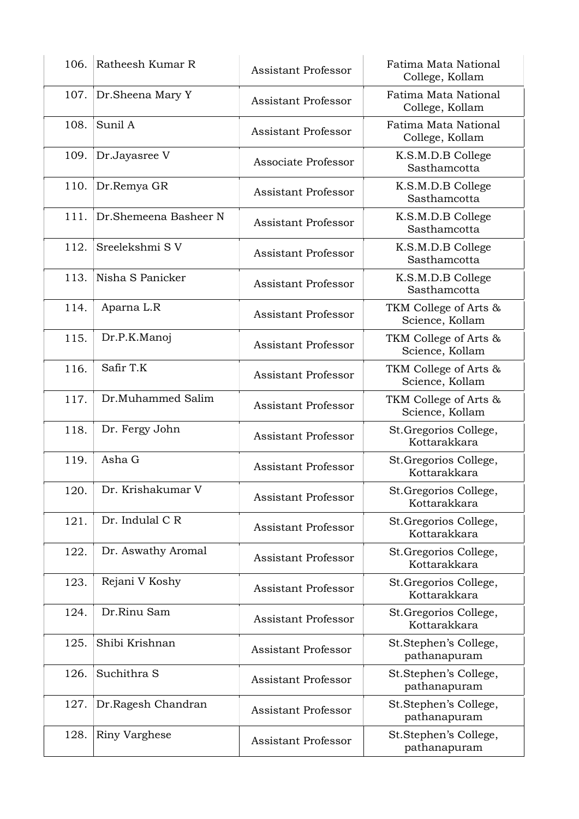| 106. | Ratheesh Kumar R      | <b>Assistant Professor</b> | Fatima Mata National<br>College, Kollam  |
|------|-----------------------|----------------------------|------------------------------------------|
| 107. | Dr.Sheena Mary Y      | <b>Assistant Professor</b> | Fatima Mata National<br>College, Kollam  |
| 108. | Sunil A               | <b>Assistant Professor</b> | Fatima Mata National<br>College, Kollam  |
| 109. | Dr.Jayasree V         | Associate Professor        | K.S.M.D.B College<br>Sasthamcotta        |
| 110. | Dr.Remya GR           | <b>Assistant Professor</b> | K.S.M.D.B College<br>Sasthamcotta        |
| 111. | Dr.Shemeena Basheer N | <b>Assistant Professor</b> | K.S.M.D.B College<br>Sasthamcotta        |
| 112. | Sreelekshmi SV        | <b>Assistant Professor</b> | K.S.M.D.B College<br>Sasthamcotta        |
| 113. | Nisha S Panicker      | <b>Assistant Professor</b> | K.S.M.D.B College<br>Sasthamcotta        |
| 114. | Aparna L.R            | <b>Assistant Professor</b> | TKM College of Arts &<br>Science, Kollam |
| 115. | Dr.P.K.Manoj          | <b>Assistant Professor</b> | TKM College of Arts &<br>Science, Kollam |
| 116. | Safir T.K             | <b>Assistant Professor</b> | TKM College of Arts &<br>Science, Kollam |
| 117. | Dr.Muhammed Salim     | <b>Assistant Professor</b> | TKM College of Arts &<br>Science, Kollam |
| 118. | Dr. Fergy John        | <b>Assistant Professor</b> | St.Gregorios College,<br>Kottarakkara    |
| 119. | Asha G                | <b>Assistant Professor</b> | St.Gregorios College,<br>Kottarakkara    |
| 120. | Dr. Krishakumar V     | <b>Assistant Professor</b> | St.Gregorios College,<br>Kottarakkara    |
| 121. | Dr. Indulal C R       | <b>Assistant Professor</b> | St.Gregorios College,<br>Kottarakkara    |
| 122. | Dr. Aswathy Aromal    | <b>Assistant Professor</b> | St.Gregorios College,<br>Kottarakkara    |
| 123. | Rejani V Koshy        | <b>Assistant Professor</b> | St. Gregorios College,<br>Kottarakkara   |
| 124. | Dr.Rinu Sam           | <b>Assistant Professor</b> | St.Gregorios College,<br>Kottarakkara    |
| 125. | Shibi Krishnan        | <b>Assistant Professor</b> | St.Stephen's College,<br>pathanapuram    |
| 126. | Suchithra S           | <b>Assistant Professor</b> | St.Stephen's College,<br>pathanapuram    |
| 127. | Dr.Ragesh Chandran    | <b>Assistant Professor</b> | St.Stephen's College,<br>pathanapuram    |
| 128. | <b>Riny Varghese</b>  | <b>Assistant Professor</b> | St.Stephen's College,<br>pathanapuram    |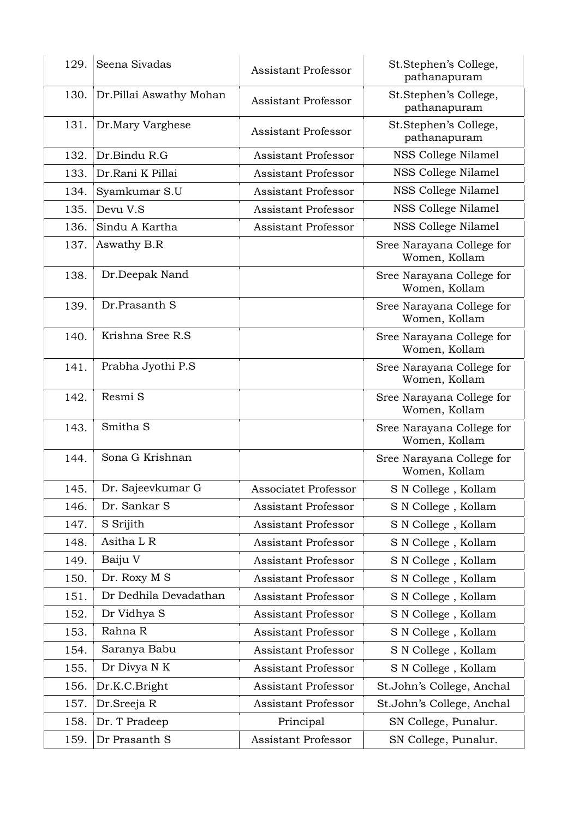| 129. | Seena Sivadas           | <b>Assistant Professor</b>  | St.Stephen's College,<br>pathanapuram      |
|------|-------------------------|-----------------------------|--------------------------------------------|
| 130. | Dr.Pillai Aswathy Mohan | <b>Assistant Professor</b>  | St.Stephen's College,<br>pathanapuram      |
| 131. | Dr.Mary Varghese        | <b>Assistant Professor</b>  | St.Stephen's College,<br>pathanapuram      |
| 132. | Dr.Bindu R.G            | <b>Assistant Professor</b>  | NSS College Nilamel                        |
| 133. | Dr.Rani K Pillai        | <b>Assistant Professor</b>  | NSS College Nilamel                        |
| 134. | Syamkumar S.U           | <b>Assistant Professor</b>  | NSS College Nilamel                        |
| 135. | Devu V.S                | <b>Assistant Professor</b>  | NSS College Nilamel                        |
| 136. | Sindu A Kartha          | <b>Assistant Professor</b>  | NSS College Nilamel                        |
| 137. | Aswathy B.R             |                             | Sree Narayana College for<br>Women, Kollam |
| 138. | Dr.Deepak Nand          |                             | Sree Narayana College for<br>Women, Kollam |
| 139. | Dr.Prasanth S           |                             | Sree Narayana College for<br>Women, Kollam |
| 140. | Krishna Sree R.S        |                             | Sree Narayana College for<br>Women, Kollam |
| 141. | Prabha Jyothi P.S       |                             | Sree Narayana College for<br>Women, Kollam |
| 142. | Resmi S                 |                             | Sree Narayana College for<br>Women, Kollam |
| 143. | Smitha <sub>S</sub>     |                             | Sree Narayana College for<br>Women, Kollam |
| 144. | Sona G Krishnan         |                             | Sree Narayana College for<br>Women, Kollam |
| 145. | Dr. Sajeevkumar G       | <b>Associatet Professor</b> | S N College , Kollam                       |
| 146. | Dr. Sankar S            | <b>Assistant Professor</b>  | S N College, Kollam                        |
| 147. | S Srijith               | Assistant Professor         | S N College, Kollam                        |
| 148. | Asitha L R              | <b>Assistant Professor</b>  | S N College, Kollam                        |
| 149. | Baiju V                 | <b>Assistant Professor</b>  | S N College, Kollam                        |
| 150. | Dr. Roxy M S            | Assistant Professor         | S N College, Kollam                        |
| 151. | Dr Dedhila Devadathan   | Assistant Professor         | S N College, Kollam                        |
| 152. | Dr Vidhya S             | Assistant Professor         | S N College, Kollam                        |
| 153. | Rahna R                 | Assistant Professor         | S N College, Kollam                        |
| 154. | Saranya Babu            | Assistant Professor         | S N College, Kollam                        |
| 155. | Dr Divya N K            | Assistant Professor         | S N College, Kollam                        |
| 156. | Dr.K.C.Bright           | Assistant Professor         | St.John's College, Anchal                  |
| 157. | Dr.Sreeja R             | <b>Assistant Professor</b>  | St.John's College, Anchal                  |
| 158. | Dr. T Pradeep           | Principal                   | SN College, Punalur.                       |
| 159. | Dr Prasanth S           | Assistant Professor         | SN College, Punalur.                       |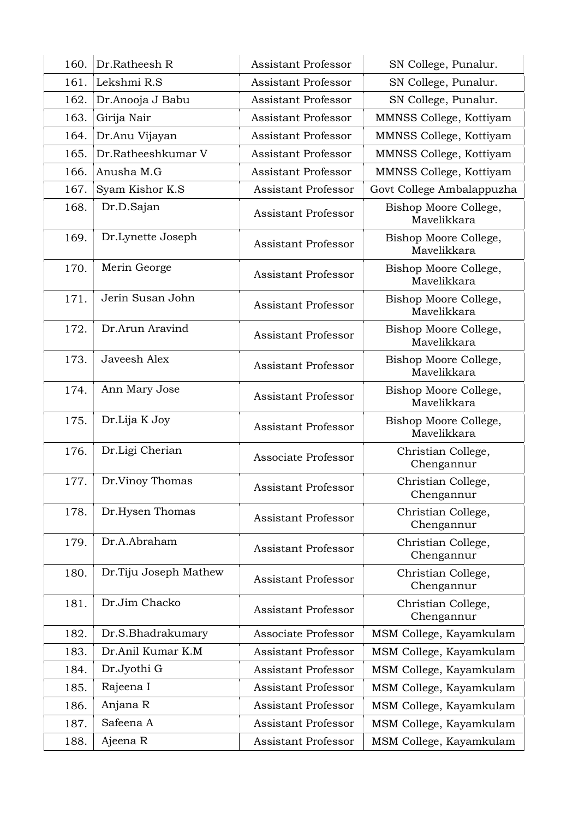| 160. | Dr.Ratheesh R         | <b>Assistant Professor</b> | SN College, Punalur.                 |
|------|-----------------------|----------------------------|--------------------------------------|
| 161. | Lekshmi R.S           | <b>Assistant Professor</b> | SN College, Punalur.                 |
| 162. | Dr.Anooja J Babu      | <b>Assistant Professor</b> | SN College, Punalur.                 |
| 163. | Girija Nair           | <b>Assistant Professor</b> | MMNSS College, Kottiyam              |
| 164. | Dr.Anu Vijayan        | <b>Assistant Professor</b> | MMNSS College, Kottiyam              |
| 165. | Dr.Ratheeshkumar V    | <b>Assistant Professor</b> | MMNSS College, Kottiyam              |
| 166. | Anusha M.G            | <b>Assistant Professor</b> | MMNSS College, Kottiyam              |
| 167. | Syam Kishor K.S       | <b>Assistant Professor</b> | Govt College Ambalappuzha            |
| 168. | Dr.D.Sajan            | <b>Assistant Professor</b> | Bishop Moore College,<br>Mavelikkara |
| 169. | Dr.Lynette Joseph     | <b>Assistant Professor</b> | Bishop Moore College,<br>Mavelikkara |
| 170. | Merin George          | <b>Assistant Professor</b> | Bishop Moore College,<br>Mavelikkara |
| 171. | Jerin Susan John      | <b>Assistant Professor</b> | Bishop Moore College,<br>Mavelikkara |
| 172. | Dr.Arun Aravind       | <b>Assistant Professor</b> | Bishop Moore College,<br>Mavelikkara |
| 173. | Javeesh Alex          | <b>Assistant Professor</b> | Bishop Moore College,<br>Mavelikkara |
| 174. | Ann Mary Jose         | <b>Assistant Professor</b> | Bishop Moore College,<br>Mavelikkara |
| 175. | Dr.Lija K Joy         | <b>Assistant Professor</b> | Bishop Moore College,<br>Mavelikkara |
| 176. | Dr.Ligi Cherian       | Associate Professor        | Christian College,<br>Chengannur     |
| 177. | Dr.Vinoy Thomas       | <b>Assistant Professor</b> | Christian College,<br>Chengannur     |
| 178. | Dr.Hysen Thomas       | <b>Assistant Professor</b> | Christian College,<br>Chengannur     |
| 179. | Dr.A.Abraham          | <b>Assistant Professor</b> | Christian College,<br>Chengannur     |
| 180. | Dr.Tiju Joseph Mathew | <b>Assistant Professor</b> | Christian College,<br>Chengannur     |
| 181. | Dr.Jim Chacko         | <b>Assistant Professor</b> | Christian College,<br>Chengannur     |
| 182. | Dr.S.Bhadrakumary     | Associate Professor        | MSM College, Kayamkulam              |
| 183. | Dr.Anil Kumar K.M     | <b>Assistant Professor</b> | MSM College, Kayamkulam              |
| 184. | Dr.Jyothi G           | <b>Assistant Professor</b> | MSM College, Kayamkulam              |
| 185. | Rajeena I             | Assistant Professor        | MSM College, Kayamkulam              |
| 186. | Anjana R              | <b>Assistant Professor</b> | MSM College, Kayamkulam              |
| 187. | Safeena A             | <b>Assistant Professor</b> | MSM College, Kayamkulam              |
| 188. | Ajeena R              | Assistant Professor        | MSM College, Kayamkulam              |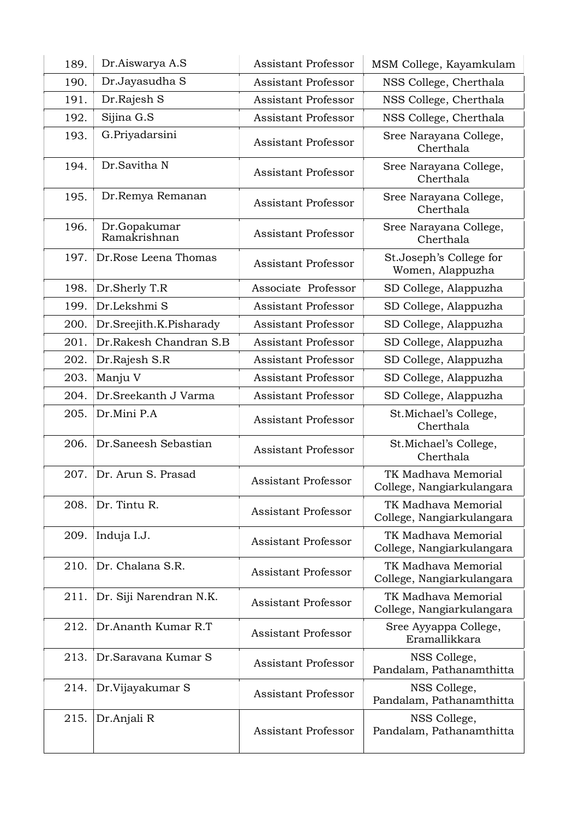| 189. | Dr.Aiswarya A.S              | <b>Assistant Professor</b> | MSM College, Kayamkulam                          |
|------|------------------------------|----------------------------|--------------------------------------------------|
| 190. | Dr.Jayasudha S               | <b>Assistant Professor</b> | NSS College, Cherthala                           |
| 191. | Dr.Rajesh S                  | Assistant Professor        | NSS College, Cherthala                           |
| 192. | Sijina G.S                   | <b>Assistant Professor</b> | NSS College, Cherthala                           |
| 193. | G.Priyadarsini               | <b>Assistant Professor</b> | Sree Narayana College,<br>Cherthala              |
| 194. | Dr.Savitha N                 | <b>Assistant Professor</b> | Sree Narayana College,<br>Cherthala              |
| 195. | Dr.Remya Remanan             | <b>Assistant Professor</b> | Sree Narayana College,<br>Cherthala              |
| 196. | Dr.Gopakumar<br>Ramakrishnan | <b>Assistant Professor</b> | Sree Narayana College,<br>Cherthala              |
| 197. | Dr.Rose Leena Thomas         | <b>Assistant Professor</b> | St.Joseph's College for<br>Women, Alappuzha      |
| 198. | Dr.Sherly T.R                | Associate Professor        | SD College, Alappuzha                            |
| 199. | Dr.Lekshmi S                 | <b>Assistant Professor</b> | SD College, Alappuzha                            |
| 200. | Dr.Sreejith.K.Pisharady      | <b>Assistant Professor</b> | SD College, Alappuzha                            |
| 201. | Dr.Rakesh Chandran S.B       | <b>Assistant Professor</b> | SD College, Alappuzha                            |
| 202. | Dr.Rajesh S.R                | <b>Assistant Professor</b> | SD College, Alappuzha                            |
| 203. | Manju V                      | <b>Assistant Professor</b> | SD College, Alappuzha                            |
| 204. | Dr.Sreekanth J Varma         | <b>Assistant Professor</b> | SD College, Alappuzha                            |
| 205. | Dr.Mini P.A                  | <b>Assistant Professor</b> | St.Michael's College,<br>Cherthala               |
| 206. | Dr.Saneesh Sebastian         | <b>Assistant Professor</b> | St.Michael's College,<br>Cherthala               |
| 207. | Dr. Arun S. Prasad           | <b>Assistant Professor</b> | TK Madhava Memorial<br>College, Nangiarkulangara |
| 208. | Dr. Tintu R.                 | <b>Assistant Professor</b> | TK Madhava Memorial<br>College, Nangiarkulangara |
| 209. | Induja I.J.                  | <b>Assistant Professor</b> | TK Madhava Memorial<br>College, Nangiarkulangara |
| 210. | Dr. Chalana S.R.             | <b>Assistant Professor</b> | TK Madhava Memorial<br>College, Nangiarkulangara |
| 211. | Dr. Siji Narendran N.K.      | <b>Assistant Professor</b> | TK Madhava Memorial<br>College, Nangiarkulangara |
| 212. | Dr.Ananth Kumar R.T          | <b>Assistant Professor</b> | Sree Ayyappa College,<br>Eramallikkara           |
| 213. | Dr.Saravana Kumar S          | <b>Assistant Professor</b> | NSS College,<br>Pandalam, Pathanamthitta         |
| 214. | Dr. Vijayakumar S            | <b>Assistant Professor</b> | NSS College,<br>Pandalam, Pathanamthitta         |
| 215. | Dr.Anjali R                  | <b>Assistant Professor</b> | NSS College,<br>Pandalam, Pathanamthitta         |